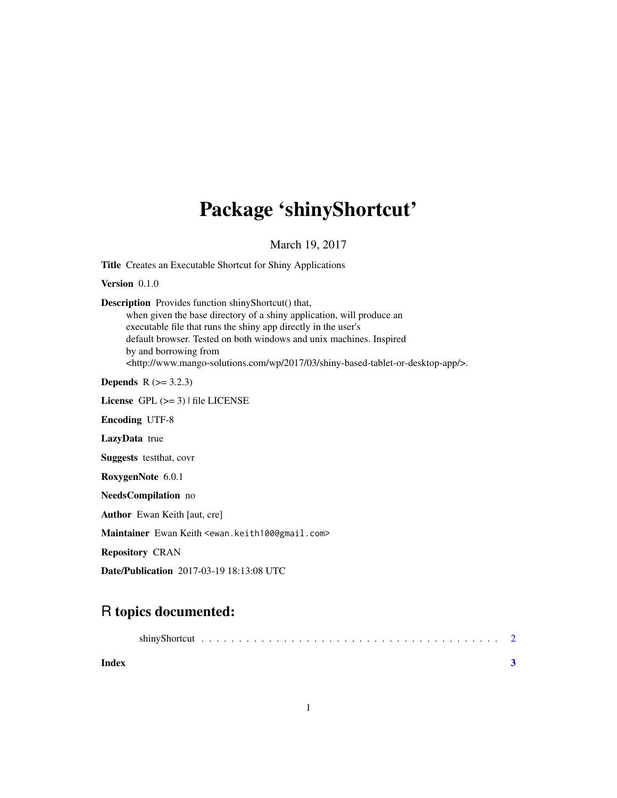## Package 'shinyShortcut'

March 19, 2017

Title Creates an Executable Shortcut for Shiny Applications

Version 0.1.0

Description Provides function shinyShortcut() that, when given the base directory of a shiny application, will produce an executable file that runs the shiny app directly in the user's default browser. Tested on both windows and unix machines. Inspired by and borrowing from <http://www.mango-solutions.com/wp/2017/03/shiny-based-tablet-or-desktop-app/>.

**Depends**  $R$  ( $>= 3.2.3$ )

License GPL  $(>= 3)$  | file LICENSE

Encoding UTF-8

LazyData true

Suggests testthat, covr

RoxygenNote 6.0.1

NeedsCompilation no

Author Ewan Keith [aut, cre]

Maintainer Ewan Keith <ewan.keith100@gmail.com>

Repository CRAN

Date/Publication 2017-03-19 18:13:08 UTC

### R topics documented:

| Index |  |  |  |  |  |  |  |  |  |  |  |  |  |  |  |  |  |  |
|-------|--|--|--|--|--|--|--|--|--|--|--|--|--|--|--|--|--|--|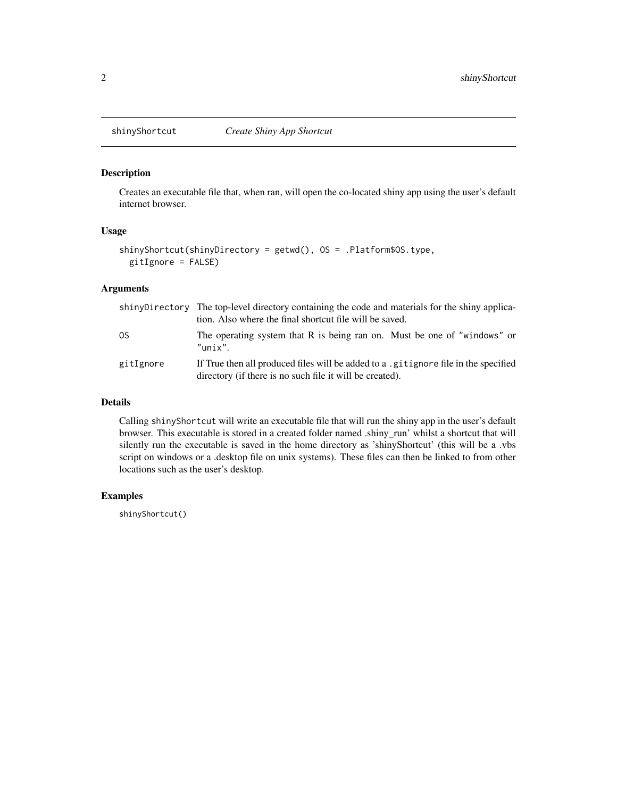<span id="page-1-0"></span>

#### Description

Creates an executable file that, when ran, will open the co-located shiny app using the user's default internet browser.

#### Usage

```
shinyShortcut(shinyDirectory = getwd(), OS = .Platform$OS.type,
gitIgnore = FALSE)
```
#### Arguments

|           | shinyDirectory The top-level directory containing the code and materials for the shiny applica-<br>tion. Also where the final shortcut file will be saved. |
|-----------|------------------------------------------------------------------------------------------------------------------------------------------------------------|
| 0S        | The operating system that R is being ran on. Must be one of "windows" or<br>$"$ unix".                                                                     |
| gitIgnore | If True then all produced files will be added to a gitignore file in the specified<br>directory (if there is no such file it will be created).             |

#### Details

Calling shinyShortcut will write an executable file that will run the shiny app in the user's default browser. This executable is stored in a created folder named .shiny\_run' whilst a shortcut that will silently run the executable is saved in the home directory as 'shinyShortcut' (this will be a .vbs script on windows or a .desktop file on unix systems). These files can then be linked to from other locations such as the user's desktop.

#### Examples

shinyShortcut()